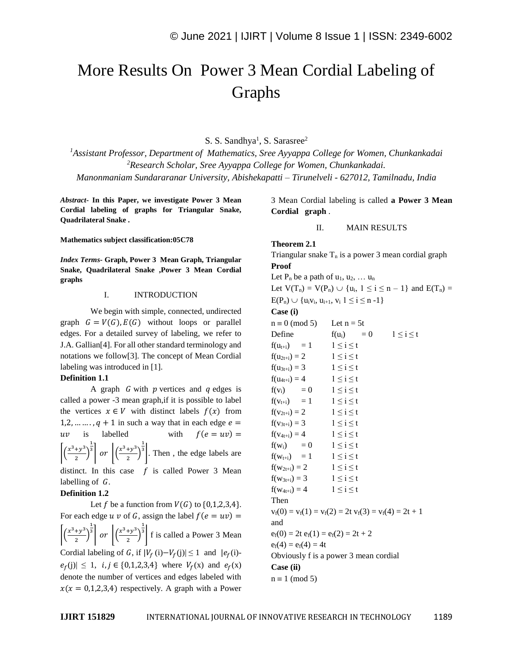# More Results On Power 3 Mean Cordial Labeling of Graphs

S. S. Sandhya<sup>1</sup>, S. Sarasree<sup>2</sup>

*<sup>1</sup>Assistant Professor, Department of Mathematics, Sree Ayyappa College for Women, Chunkankadai <sup>2</sup>Research Scholar, Sree Ayyappa College for Women, Chunkankadai. Manonmaniam Sundararanar University, Abishekapatti – Tirunelveli - 627012, Tamilnadu, India*

*Abstract-* **In this Paper, we investigate Power 3 Mean Cordial labeling of graphs for Triangular Snake, Quadrilateral Snake .**

**Mathematics subject classification:05C78**

*Index Terms-* **Graph, Power 3 Mean Graph, Triangular Snake, Quadrilateral Snake ,Power 3 Mean Cordial graphs**

# I. INTRODUCTION

We begin with simple, connected, undirected graph  $G = V(G), E(G)$  without loops or parallel edges. For a detailed survey of labeling, we refer to J.A. Gallian[4]. For all other standard terminology and notations we follow[3]. The concept of Mean Cordial labeling was introduced in [1].

#### **Definition 1.1**

A graph  $G$  with  $p$  vertices and  $q$  edges is called a power -3 mean graph,if it is possible to label the vertices  $x \in V$  with distinct labels  $f(x)$  from 1,2, ...  $\dots$ ,  $q + 1$  in such a way that in each edge  $e =$  $uv$  is labelled with  $f(e = uv) =$  $\left(\frac{x^3+y^3}{2}\right)$  $\frac{y}{2}$  $\frac{1}{3}$  or  $\left| \left( \frac{x^3 + y^3}{2} \right) \right|$  $\frac{y}{2}$  $\frac{1}{3}$ . Then, the edge labels are distinct. In this case  $f$  is called Power 3 Mean labelling of  $G$ . **Definition 1.2**

Let f be a function from  $V(G)$  to  $\{0,1,2,3,4\}$ . For each edge  $u v$  of G, assign the label  $f(e = uv) =$  $\left(\frac{x^3+y^3}{2}\right)$  $\frac{y}{2}$  $\frac{1}{3}$  or  $\left| \left( \frac{x^3 + y^3}{2} \right) \right|$  $\frac{y}{2}$  $\frac{1}{3}$  f is called a Power 3 Mean Cordial labeling of G, if  $|V_f(i) - V_f(j)| \le 1$  and  $|e_f(i) - V_f(j)| \le 1$  $|e_f(j)| \leq 1$ ,  $i, j \in \{0, 1, 2, 3, 4\}$  where  $V_f(x)$  and  $e_f(x)$ denote the number of vertices and edges labeled with  $x(x = 0,1,2,3,4)$  respectively. A graph with a Power

3 Mean Cordial labeling is called **a Power 3 Mean Cordial graph** .

#### II. MAIN RESULTS

# **Theorem 2.1**

Triangular snake  $T_n$  is a power 3 mean cordial graph **Proof** Let  $P_n$  be a path of  $u_1, u_2, \ldots u_n$ Let  $V(T_n) = V(P_n) \cup \{u_i, 1 \le i \le n-1\}$  and  $E(T_n) =$  $E(P_n) \cup \{u_iv_i, u_{i+1}, v_i \mid 1 \le i \le n-1\}$ 

# **Case (i)**

| $n \equiv 0 \pmod{5}$                  | Let $n = 5t$                                             |  |  |
|----------------------------------------|----------------------------------------------------------|--|--|
| Define                                 | $f(u_i) = 0$<br>$1 \leq i \leq t$                        |  |  |
| $f(u_{t+i}) = 1$                       | $1 \leq i \leq t$                                        |  |  |
| $f(u_{2t+i}) = 2$                      | $1 \leq i \leq t$                                        |  |  |
| $f(u_{3t+i}) = 3$                      | $1 \leq i \leq t$                                        |  |  |
| $f(u_{4t+i}) = 4$                      | $1 \leq i \leq t$                                        |  |  |
| $f(v_i) = 0$                           | $1 \leq i \leq t$                                        |  |  |
| $f(v_{t+i}) = 1$                       | $1 \leq i \leq t$                                        |  |  |
| $f(v_{2t+i}) = 2$                      | $1 \leq i \leq t$                                        |  |  |
| $f(v_{3t+i}) = 3$                      | $1 \leq i \leq t$                                        |  |  |
| $f(v_{4t+i}) = 4$                      | $1 \leq i \leq t$                                        |  |  |
| $f(w_i) = 0$                           | $1 \leq i \leq t$                                        |  |  |
| $f(w_{t+i}) = 1$                       | $1 \leq i \leq t$                                        |  |  |
| $f(w_{2t+i}) = 2$                      | $1 \leq i \leq t$                                        |  |  |
| $f(w_{3t+i}) = 3$                      | $1 \leq i \leq t$                                        |  |  |
| $f(w_{4t+i}) = 4$                      | $1 \leq i \leq t$                                        |  |  |
| Then                                   |                                                          |  |  |
|                                        | $v_f(0) = v_f(1) = v_f(2) = 2t v_f(3) = v_f(4) = 2t + 1$ |  |  |
| and                                    |                                                          |  |  |
| $e_f(0) = 2t e_f(1) = e_f(2) = 2t + 2$ |                                                          |  |  |
| $e_f(4) = e_f(4) = 4t$                 |                                                          |  |  |
| Obviously f is a power 3 mean cordial  |                                                          |  |  |
| Case (ii)                              |                                                          |  |  |
| $n \equiv 1 \pmod{5}$                  |                                                          |  |  |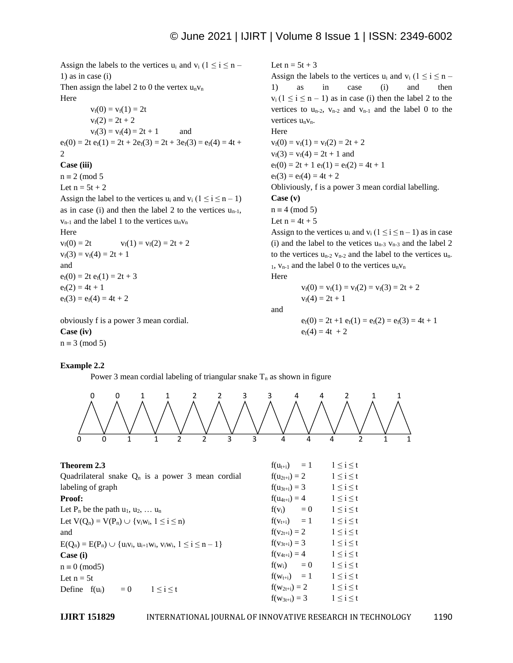Assign the labels to the vertices  $u_i$  and  $v_i$  ( $1 \le i \le n$  – 1) as in case (i) Then assign the label 2 to 0 the vertex  $u_n v_n$ Here  $v_f(0) = v_f(1) = 2t$  $v_f(2) = 2t + 2$  $v_f(3) = v_f(4) = 2t + 1$  and  $e_f(0) = 2t e_f(1) = 2t + 2e_f(3) = 2t + 3e_f(3) = e_f(4) = 4t +$  $\mathcal{D}$ **Case (iii)**  $n \equiv 2 \pmod{5}$ Let  $n = 5t + 2$ Assign the label to the vertices  $u_i$  and  $v_i$  ( $1 \le i \le n-1$ ) as in case (i) and then the label 2 to the vertices  $u_{n-1}$ ,  $v_{n-1}$  and the label 1 to the vertices  $u_n v_n$ Here  $v_f(0) = 2t$   $v_f(1) = v_f(2) = 2t + 2$  $v_f(3) = v_f(4) = 2t + 1$ and  $e_f(0) = 2t e_f(1) = 2t + 3$  $e_f(2) = 4t + 1$  $e_f(3) = e_f(4) = 4t + 2$ 

obviously f is a power 3 mean cordial. **Case (iv)**  $n \equiv 3 \pmod{5}$ 

## **Example 2.2**

Power 3 mean cordial labeling of triangular snake  $T_n$  as shown in figure



and

$$
e_f(0) = 2t + 1 e_f(1) = e_f(2) = e_f(3) = 4t + 1
$$
  
 $e_f(4) = 4t + 2$ 

0 0 1 1 2 2 3 3 4 4 2 1 1 0 0 1 1 2 2 3 3 4 4 4 2 1 1

| Theorem 2.3                                                               | $f(u_{t+i}) = 1$  | $1 \leq i \leq t$ |
|---------------------------------------------------------------------------|-------------------|-------------------|
| Quadrilateral snake $Q_n$ is a power 3 mean cordial                       | $f(u_{2t+i}) = 2$ | $1 \leq i \leq t$ |
| labeling of graph                                                         | $f(u_{3t+i}) = 3$ | $1 \leq i \leq t$ |
| Proof:                                                                    | $f(u_{4t+i}) = 4$ | $1 \leq i \leq t$ |
| Let P <sub>n</sub> be the path $u_1, u_2, \ldots u_n$                     | $f(v_i) = 0$      | $1 \leq i \leq t$ |
| Let $V(Q_n) = V(P_n) \cup \{v_i w_i, 1 \le i \le n\}$                     | $f(v_{t+i}) = 1$  | $1 \leq i \leq t$ |
| and                                                                       | $f(v_{2t+i}) = 2$ | $1 \leq i \leq t$ |
| $E(Q_n) = E(P_n) \cup \{u_i v_i, u_{i+1} w_i, v_i w_i, 1 \le i \le n-1\}$ | $f(v_{3t+i}) = 3$ | $1 \leq i \leq t$ |
| Case (i)                                                                  | $f(v_{4t+i}) = 4$ | $1 \leq i \leq t$ |
| $n \equiv 0 \pmod{5}$                                                     | $f(w_i) = 0$      | $1 \leq i \leq t$ |
| Let $n = 5t$                                                              | $f(w_{t+i}) = 1$  | $1 \leq i \leq t$ |
| $1 \leq i \leq t$<br>Define $f(u_i)$<br>$= 0$                             | $f(w_{2t+i}) = 2$ | $1 \leq i \leq t$ |
|                                                                           | $f(w_{3t+i}) = 3$ | $1 \leq i \leq t$ |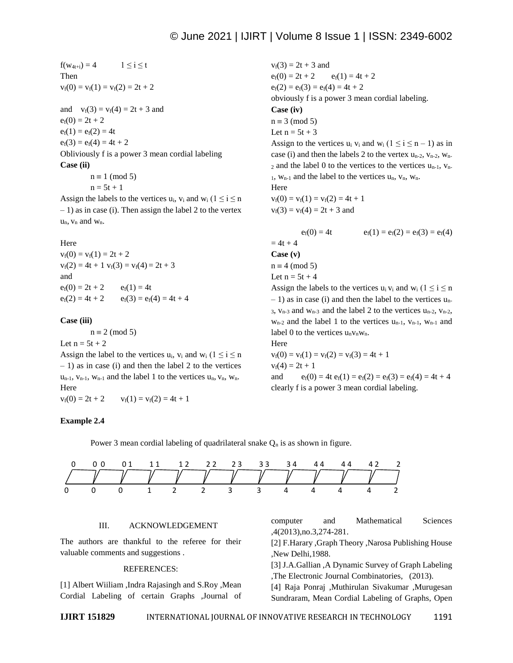$f(w_{4t+i}) = 4$   $1 \le i \le t$ Then  $v_f(0) = v_f(1) = v_f(2) = 2t + 2$ 

and  $v_f(3) = v_f(4) = 2t + 3$  and  $e_f(0) = 2t + 2$  $e_f(1) = e_f(2) = 4t$  $e_f(3) = e_f(4) = 4t + 2$ Obliviously f is a power 3 mean cordial labeling **Case (ii)**  $n \equiv 1 \pmod{5}$ 

 $n = 5t + 1$ 

Assign the labels to the vertices u<sub>i</sub>,  $v_i$  and  $w_i$  ( $1 \le i \le n$ )  $-1$ ) as in case (i). Then assign the label 2 to the vertex  $u_n$ ,  $v_n$  and  $w_n$ .

## Here

 $v_f(0) = v_f(1) = 2t + 2$  $v_f(2) = 4t + 1$   $v_f(3) = v_f(4) = 2t + 3$ and  $e_f(0) = 2t + 2$   $e_f(1) = 4t$  $e_f(2) = 4t + 2$   $e_f(3) = e_f(4) = 4t + 4$ 

## **Case (iii)**

 $n \equiv 2 \pmod{5}$ 

Let  $n = 5t + 2$ Assign the label to the vertices  $u_i$ ,  $v_i$  and  $w_i$  ( $1 \le i \le n$ )  $-1$ ) as in case (i) and then the label 2 to the vertices  $u_{n-1}$ ,  $v_{n-1}$ ,  $w_{n-1}$  and the label 1 to the vertices  $u_n$ ,  $v_n$ ,  $w_n$ . Here  $v_f(0) = 2t + 2$   $v_f(1) = v_f(2) = 4t + 1$ 

## **Example 2.4**

 $v_f(3) = 2t + 3$  and  $e_f(0) = 2t + 2$   $e_f(1) = 4t + 2$  $e_f(2) = e_f(3) = e_f(4) = 4t + 2$ obviously f is a power 3 mean cordial labeling. **Case (iv)**  $n \equiv 3 \pmod{5}$ Let  $n = 5t + 3$ Assign to the vertices  $u_i$  v<sub>i</sub> and  $w_i$  ( $1 \le i \le n-1$ ) as in case (i) and then the labels 2 to the vertex  $u_{n-2}$ ,  $v_{n-2}$ ,  $w_{n-1}$  $_2$  and the label 0 to the vertices to the vertices  $u_{n-1}$ ,  $v_{n-1}$  $_1$ ,  $w_{n-1}$  and the label to the vertices  $u_n$ ,  $v_n$ ,  $w_n$ . Here  $v_f(0) = v_f(1) = v_f(2) = 4t + 1$  $v_f(3) = v_f(4) = 2t + 3$  and  $e_f(0) = 4t$   $e_f(1) = e_f(2) = e_f(3) = e_f(4)$  $= 4t + 4$ **Case (v)**  $n \equiv 4 \pmod{5}$ Let  $n = 5t + 4$ Assign the labels to the vertices  $u_i v_i$  and  $w_i$  ( $1 \le i \le n$ )

 $-1$ ) as in case (i) and then the label to the vertices u<sub>n-</sub> 3,  $v_{n-3}$  and  $w_{n-3}$  and the label 2 to the vertices  $u_{n-2}$ ,  $v_{n-2}$ ,  $w_{n-2}$  and the label 1 to the vertices  $u_{n-1}$ ,  $v_{n-1}$ ,  $w_{n-1}$  and label 0 to the vertices  $u_n v_n w_n$ . Here

$$
v_f(0) = v_f(1) = v_f(2) = v_f(3) = 4t + 1
$$
  
\n $v_f(4) = 2t + 1$   
\nand  $e_f(0) = 4t e_f(1) = e_f(2) = e_f(3) = e_f(4) = 4t + 4$   
\nclearly f is a power 3 mean ordinal labeling.

Power 3 mean cordial labeling of quadrilateral snake  $Q_n$  is as shown in figure.



#### III. ACKNOWLEDGEMENT

The authors are thankful to the referee for their valuable comments and suggestions .

#### REFERENCES:

[1] Albert Wiiliam ,Indra Rajasingh and S.Roy ,Mean Cordial Labeling of certain Graphs ,Journal of computer and Mathematical Sciences ,4(2013),no.3,274-281.

[2] F.Harary ,Graph Theory ,Narosa Publishing House ,New Delhi,1988.

[3] J.A.Gallian ,A Dynamic Survey of Graph Labeling ,The Electronic Journal Combinatories, (2013).

[4] Raja Ponraj ,Muthirulan Sivakumar ,Murugesan Sundraram, Mean Cordial Labeling of Graphs, Open